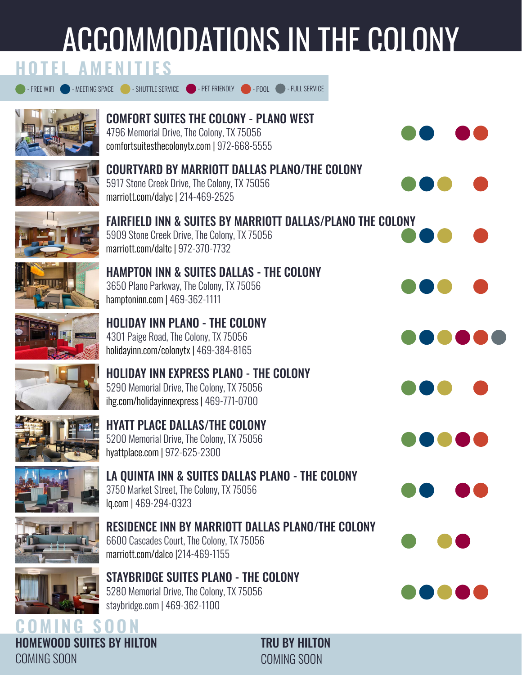# Accommodations in the colony



[COMING SOON](http://visitthecolonytx.com/170/Anticipate) [COMING SOON](http://visitthecolonytx.com/170/Anticipate) HOMEWOOD SUITES BY HILTON TRU BY HILTON  $\tt COMINGS$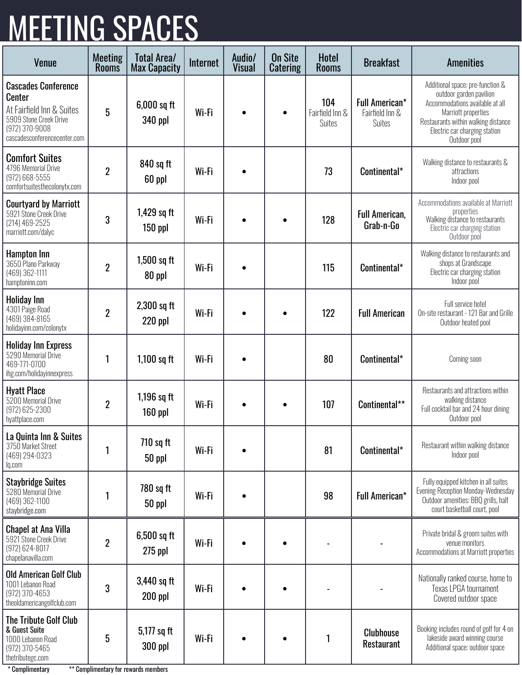### **MEETING SPACES**

| Venue                                                                                                                                                  | <b>Meeting</b><br><b>Rooms</b> | <b>Total Area/</b><br><b>Max Capacity</b> | Internet | Audio/<br><b>Visual</b> | <b>On Site</b><br><b>Catering</b> | <b>Hotel</b><br><b>Rooms</b>            | <b>Breakfast</b>                                   | <b>Amenities</b>                                                                                                                                                                                              |
|--------------------------------------------------------------------------------------------------------------------------------------------------------|--------------------------------|-------------------------------------------|----------|-------------------------|-----------------------------------|-----------------------------------------|----------------------------------------------------|---------------------------------------------------------------------------------------------------------------------------------------------------------------------------------------------------------------|
| <b>Cascades Conference</b><br><b>Center</b><br>At Fairfield Inn & Suites<br>5909 Stone Creek Drive<br>$(972)$ 370-9008<br>cascadesconferencecenter.com | $5\phantom{.0}$                | $6,000$ sq ft<br>340 ppl                  | Wi-Fi    |                         |                                   | 104<br>Fairfield Inn &<br><b>Suites</b> | <b>Full American*</b><br>Fairfield Inn &<br>Suites | Additional space: pre-function &<br>outdoor garden pavilion<br>Accommodations available at all<br>Marriott properties<br>Restaurants within walking distance<br>Electric car charging station<br>Outdoor pool |
| <b>Comfort Suites</b><br>4796 Memorial Drive<br>(972) 668-5555<br>comfortsuitesthecolonytx.com                                                         | $\overline{2}$                 | 840 sq ft<br>60 ppl                       | Wi-Fi    |                         |                                   | 73                                      | Continental*                                       | Walking distance to restaurants &<br>attractions<br>Indoor pool                                                                                                                                               |
| <b>Courtyard by Marriott</b><br>5921 Stone Creek Drive<br>(214) 469-2525<br>marriott.com/dalyc                                                         | 3                              | 1,429 sq ft<br>$150$ ppl                  | Wi-Fi    | $\bullet$               | $\bullet$                         | 128                                     | <b>Full American,</b><br>Grab-n-Go                 | Accommodations available at Marriott<br>properties<br>Walking distance to restaurants<br>Electric car charging station<br>Outdoor pool                                                                        |
| <b>Hampton Inn</b><br>3650 Plano Parkway<br>(469) 362-1111<br>hamptoninn.com                                                                           | $\overline{2}$                 | $1,500$ sq ft<br>80 ppl                   | Wi-Fi    |                         |                                   | 115                                     | Continental*                                       | Walking distance to restaurants and<br>shops at Grandscape<br>Electric car charging station<br>Indoor pool                                                                                                    |
| Holiday Inn<br>4301 Paige Road<br>(469) 384-8165<br>holidayinn.com/colonytx                                                                            | $\boldsymbol{2}$               | $2,300$ sq ft<br>$220$ ppl                | Wi-Fi    | $\bullet$               | $\bullet$                         | 122                                     | <b>Full American</b>                               | Full service hotel<br>On-site restaurant - 121 Bar and Grille<br>Outdoor heated pool                                                                                                                          |
| <b>Holiday Inn Express</b><br>5290 Memorial Drive<br>469-771-0700<br>ihg.com/holidayinnexpress                                                         | 1                              | $1,100$ sq ft                             | Wi-Fi    |                         |                                   | 80                                      | Continental*                                       | Coming soon                                                                                                                                                                                                   |
| <b>Hyatt Place</b><br>5200 Memorial Drive<br>(972) 625-2300<br>hyattplace.com                                                                          | $\boldsymbol{2}$               | $1,196$ sq ft<br>160 ppl                  | Wi-Fi    | $\bullet$               | $\bullet$                         | 107                                     | Continental**                                      | Restaurants and attractions within<br>walking distance<br>Full cocktail bar and 24 hour dining<br>Outdoor pool                                                                                                |
| La Quinta Inn & Suites<br>3750 Market Street<br>(469) 294-0323<br>lq.com                                                                               | 1                              | 710 sq ft<br>50 ppl                       | Wi-Fi    |                         |                                   | 81                                      | Continental*                                       | Restaurant within walking distance<br>Indoor pool                                                                                                                                                             |
| <b>Staybridge Suites</b><br>5280 Memorial Drive<br>(469) 362-1100<br>staybridge.com                                                                    | 1                              | 780 sq ft<br>50 ppl                       | Wi-Fi    |                         |                                   | 98                                      | <b>Full American*</b>                              | Fully equipped kitchen in all suites<br>Evening Reception Monday-Wednesday<br>Outdoor amenities: BBQ grills, half<br>court basketball court, pool                                                             |
| <b>Chapel at Ana Villa</b><br>5921 Stone Creek Drive<br>(972) 624-8017<br>chapelanavilla.com                                                           | $\overline{2}$                 | 6,500 sq ft<br>$275$ ppl                  | Wi-Fi    |                         |                                   |                                         |                                                    | Private bridal & groom suites with<br>venue monitors<br>Accommodations at Marriott properties                                                                                                                 |
| <b>Old American Golf Club</b><br>1001 Lebanon Road<br>(972) 370-4653<br>theoldamericangolfclub.com                                                     | $\mathbf{3}$                   | 3,440 sq ft<br>$200$ ppl                  | Wi-Fi    |                         |                                   |                                         |                                                    | Nationally ranked course, home to<br>Texas LPGA tournament<br>Covered outdoor space                                                                                                                           |
| The Tribute Golf Club<br>& Guest Suite<br>1000 Lebanon Road<br>(972) 370-5465<br>thetributegc.com                                                      | 5                              | 5,177 sq ft<br>300 ppl                    | Wi-Fi    |                         |                                   | 1                                       | <b>Clubhouse</b><br><b>Restaurant</b>              | Booking includes round of golf for 4 on<br>lakeside award winning course<br>Additional space: outdoor space                                                                                                   |

\* Complimentary \*\* Complimentary for rewards members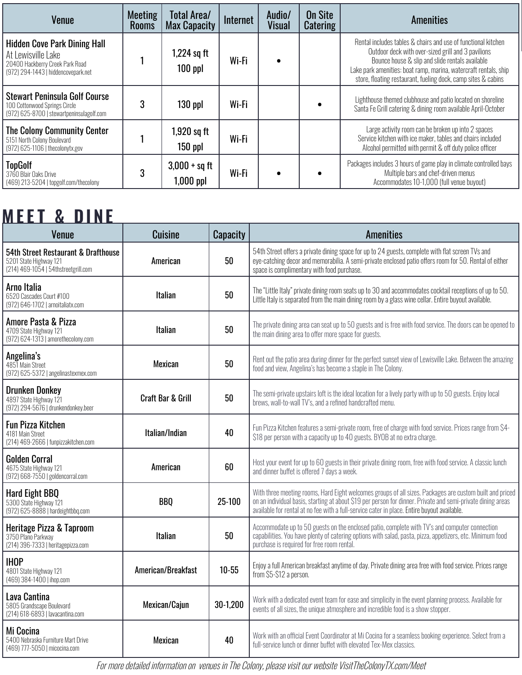| <b>Venue</b>                                                                                                                        | Meeting<br><b>Rooms</b> | Total Area/<br>Max Capacity  | Internet | Audio/<br><b>Visual</b> | <b>On Site</b><br><b>Catering</b> | <b>Amenities</b>                                                                                                                                                                                                                                                                                            |
|-------------------------------------------------------------------------------------------------------------------------------------|-------------------------|------------------------------|----------|-------------------------|-----------------------------------|-------------------------------------------------------------------------------------------------------------------------------------------------------------------------------------------------------------------------------------------------------------------------------------------------------------|
| <b>Hidden Cove Park Dining Hall</b><br>At Lewisville Lake<br>20400 Hackberry Creek Park Road<br>(972) 294-1443   hiddencovepark.net |                         | $1,224$ sq ft<br>$100$ ppl   | Wi-Fi    |                         |                                   | Rental includes tables & chairs and use of functional kitchen<br>Outdoor deck with over-sized grill and 3 pavilions<br>Bounce house & slip and slide rentals available<br>Lake park amenities: boat ramp, marina, watercraft rentals, ship<br>store, floating restaurant, fueling dock, camp sites & cabins |
| <b>Stewart Peninsula Golf Course</b><br>100 Cottonwood Springs Circle<br>(972) 625-8700   stewartpeninsulagolf.com                  |                         | $130$ ppl                    | Wi-Fi    |                         |                                   | Lighthouse themed clubhouse and patio located on shoreline<br>Santa Fe Grill catering & dining room available April-October                                                                                                                                                                                 |
| <b>The Colony Community Center</b><br>5151 North Colony Boulevard<br>(972) 625-1106   thecolonytx.gov                               |                         | 1,920 sq ft<br>$150$ ppl     | Wi-Fi    |                         |                                   | Large activity room can be broken up into 2 spaces<br>Service kitchen with ice maker, tables and chairs included<br>Alcohol permitted with permit & off duty police officer                                                                                                                                 |
| <b>TopGolf</b><br>3760 Blair Oaks Drive<br>(469) 213-5204   topgolf.com/thecolony                                                   |                         | $3,000 + sq$ ft<br>1,000 ppl | Wi-Fi    |                         |                                   | Packages includes 3 hours of game play in climate controlled bays<br>Multiple bars and chef-driven menus<br>Accommodates 10-1,000 (full venue buyout)                                                                                                                                                       |

### **MEET & DINE**

| Venue                                                                                                 | <b>Cuisine</b>               | <b>Capacity</b> | <b>Amenities</b>                                                                                                                                                                                                                                                                                                      |
|-------------------------------------------------------------------------------------------------------|------------------------------|-----------------|-----------------------------------------------------------------------------------------------------------------------------------------------------------------------------------------------------------------------------------------------------------------------------------------------------------------------|
| 54th Street Restaurant & Drafthouse<br>5201 State Highway 121<br>(214) 469-1054   54thstreetgrill.com | American                     | 50              | 54th Street offers a private dining space for up to 24 guests, complete with flat screen TVs and<br>eye-catching decor and memorabilia. A semi-private enclosed patio offers room for 50. Rental of either<br>space is complimentary with food purchase.                                                              |
| Arno Italia<br>6520 Cascades Court #100<br>(972) 646-1702   arnoitaliatx.com                          | <b>Italian</b>               | 50              | The "Little Italy" private dining room seats up to 30 and accommodates cocktail receptions of up to 50.<br>Little Italy is separated from the main dining room by a glass wine cellar. Entire buyout available.                                                                                                       |
| Amore Pasta & Pizza<br>4709 State Highway 121<br>$(972) 624 - 1313$   amorethecolony.com              | <b>Italian</b>               | 50              | The private dining area can seat up to 50 guests and is free with food service. The doors can be opened to<br>the main dining area to offer more space for guests.                                                                                                                                                    |
| Angelina's<br>4851 Main Street<br>(972) 625-5372   angelinastexmex.com                                | <b>Mexican</b>               | 50              | Rent out the patio area during dinner for the perfect sunset view of Lewisville Lake. Between the amazing<br>food and view, Angelina's has become a staple in The Colony.                                                                                                                                             |
| <b>Drunken Donkey</b><br>4897 State Highway 121<br>(972) 294-5676   drunkendonkey.beer                | <b>Craft Bar &amp; Grill</b> | 50              | The semi-private upstairs loft is the ideal location for a lively party with up to 50 guests. Enjoy local<br>brews, wall-to-wall TV's, and a refined handcrafted menu.                                                                                                                                                |
| <b>Fun Pizza Kitchen</b><br>4181 Main Street<br>(214) 469-2666   funpizzakitchen.com                  | Italian/Indian               | 40              | Fun Pizza Kitchen features a semi-private room, free of charge with food service. Prices range from \$4-<br>\$18 per person with a capacity up to 40 guests. BYOB at no extra charge.                                                                                                                                 |
| <b>Golden Corral</b><br>4675 State Highway 121<br>(972) 668-7550   goldencorral.com                   | American                     | 60              | Host your event for up to 60 guests in their private dining room, free with food service. A classic lunch<br>and dinner buffet is offered 7 days a week.                                                                                                                                                              |
| Hard Eight BBQ<br>5300 State Highway 121<br>(972) 625-8888   hardeightbbq.com                         | <b>BBO</b>                   | 25-100          | With three meeting rooms, Hard Eight welcomes groups of all sizes. Packages are custom built and priced<br>on an individual basis, starting at about \$19 per person for dinner. Private and semi-private dining areas<br>available for rental at no fee with a full-service cater in place. Entire buyout available. |
| Heritage Pizza & Taproom<br>3750 Plano Parkway<br>(214) 396-7333   heritagepizza.com                  | <b>Italian</b>               | 50              | Accommodate up to 50 guests on the enclosed patio, complete with TV's and computer connection<br>capabilities. You have plenty of catering options with salad, pasta, pizza, appetizers, etc. Minimum food<br>purchase is required for free room rental.                                                              |
| <b>IHOP</b><br>4801 State Highway 121<br>(469) 384-1400   ihop.com                                    | American/Breakfast           | $10 - 55$       | Enjoy a full American breakfast anytime of day. Private dining area free with food service. Prices range<br>from \$5-\$12 a person.                                                                                                                                                                                   |
| Lava Cantina<br>5805 Grandscape Boulevard<br>(214) 618-6893   lavacantina.com                         | Mexican/Cajun                | 30-1,200        | Work with a dedicated event team for ease and simplicity in the event planning process. Available for<br>events of all sizes, the unique atmosphere and incredible food is a show stopper.                                                                                                                            |
| Mi Cocina<br>5400 Nebraska Furniture Mart Drive<br>(469) 777-5050   micocina.com                      | Mexican                      | 40              | Work with an official Event Coordinator at Mi Cocina for a seamless booking experience. Select from a<br>full-service lunch or dinner buffet with elevated Tex-Mex classics.                                                                                                                                          |

For more detailed information on venues in The Colony, please visit our website [VisitTheColonyTX.com/Meet](http://VisitTheColonyTX.com/Meet)